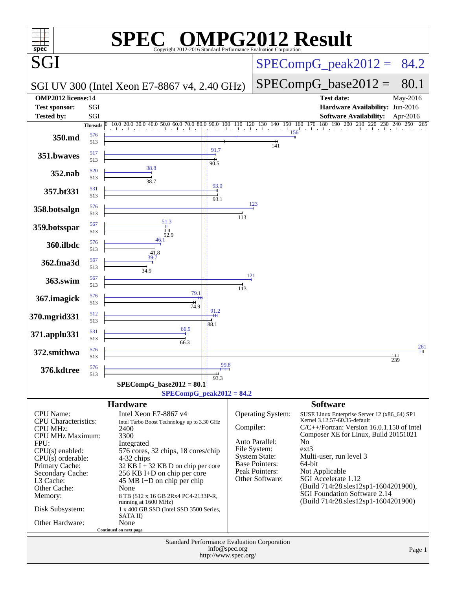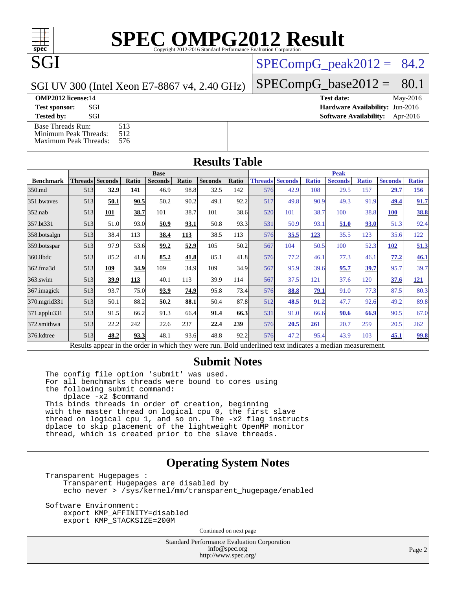## **[SPEC OMPG2012 Result](http://www.spec.org/auto/omp2012/Docs/result-fields.html#SPECOMPG2012Result)**

 $SPECompG_peak2012 = 84.2$  $SPECompG_peak2012 = 84.2$ 

 $SPECompG_base2012 = 80.1$  $SPECompG_base2012 = 80.1$ 

SGI UV 300 (Intel Xeon E7-8867 v4, 2.40 GHz)

**[OMP2012 license:](http://www.spec.org/auto/omp2012/Docs/result-fields.html#OMP2012license)**14 **[Test date:](http://www.spec.org/auto/omp2012/Docs/result-fields.html#Testdate)** May-2016

SGI

**[Test sponsor:](http://www.spec.org/auto/omp2012/Docs/result-fields.html#Testsponsor)** SGI **[Hardware Availability:](http://www.spec.org/auto/omp2012/Docs/result-fields.html#HardwareAvailability)** Jun-2016

**[Tested by:](http://www.spec.org/auto/omp2012/Docs/result-fields.html#Testedby)** SGI SOL SGI SOFTWARE AVAILABILITY: Apr-2016 [Base Threads Run:](http://www.spec.org/auto/omp2012/Docs/result-fields.html#BaseThreadsRun) 513<br>Minimum Peak Threads: 512 [Minimum Peak Threads:](http://www.spec.org/auto/omp2012/Docs/result-fields.html#MinimumPeakThreads)

[Maximum Peak Threads:](http://www.spec.org/auto/omp2012/Docs/result-fields.html#MaximumPeakThreads) 576

| <b>Results Table</b> |                        |      |                                    |                    |       |                |       |                         |      |              |                |              |                |              |
|----------------------|------------------------|------|------------------------------------|--------------------|-------|----------------|-------|-------------------------|------|--------------|----------------|--------------|----------------|--------------|
|                      | <b>Base</b>            |      |                                    |                    |       |                |       | <b>Peak</b>             |      |              |                |              |                |              |
| <b>Benchmark</b>     | <b>Threads</b> Seconds |      | Ratio                              | <b>Seconds</b>     | Ratio | <b>Seconds</b> | Ratio | <b>Threads Seconds</b>  |      | <b>Ratio</b> | <b>Seconds</b> | <b>Ratio</b> | <b>Seconds</b> | <b>Ratio</b> |
| 350.md               | 513                    | 32.9 | 141                                | 46.9               | 98.8  | 32.5           | 142   | 576                     | 42.9 | 108          | 29.5           | 157          | 29.7           | <u>156</u>   |
| 351.bwaves           | 513                    | 50.1 | 90.5                               | 50.2               | 90.2  | 49.1           | 92.2  | 517                     | 49.8 | 90.9         | 49.3           | 91.9         | 49.4           | 91.7         |
| 352.nab              | 513                    | 101  | 38.7                               | 101                | 38.7  | 101            | 38.6  | 520                     | 101  | 38.7         | 100            | 38.8         | <b>100</b>     | 38.8         |
| 357.bt331            | 513                    | 51.0 | 93.0                               | 50.9               | 93.1  | 50.8           | 93.3  | 531                     | 50.9 | 93.1         | 51.0           | 93.0         | 51.3           | 92.4         |
| 358.botsalgn         | 513                    | 38.4 | 113                                | 38.4               | 113   | 38.5           | 113   | 576                     | 35.5 | 123          | 35.5           | 123          | 35.6           | 122          |
| 359.botsspar         | 513                    | 97.9 | 53.6                               | 99.2               | 52.9  | 105            | 50.2  | 567                     | 104  | 50.5         | 100            | 52.3         | 102            | 51.3         |
| 360.ilbdc            | 513                    | 85.2 | 41.8                               | 85.2               | 41.8  | 85.1           | 41.8  | 576                     | 77.2 | 46.1         | 77.3           | 46.1         | 77.2           | 46.1         |
| 362.fma3d            | 513                    | 109  | 34.9                               | 109                | 34.9  | 109            | 34.9  | 567                     | 95.9 | 39.6         | 95.7           | 39.7         | 95.7           | 39.7         |
| 363.swim             | 513                    | 39.9 | 113                                | 40.1               | 113   | 39.9           | 114   | 567                     | 37.5 | 121          | 37.6           | 120          | 37.6           | <u>121</u>   |
| 367. imagick         | 513                    | 93.7 | 75.0                               | 93.9               | 74.9  | 95.8           | 73.4  | 576                     | 88.8 | <u>79.1</u>  | 91.0           | 77.3         | 87.5           | 80.3         |
| 370.mgrid331         | 513                    | 50.1 | 88.2                               | 50.2               | 88.1  | 50.4           | 87.8  | 512                     | 48.5 | 91.2         | 47.7           | 92.6         | 49.2           | 89.8         |
| 371.applu331         | 513                    | 91.5 | 66.2                               | 91.3               | 66.4  | 91.4           | 66.3  | 531                     | 91.0 | 66.6         | 90.6           | 66.9         | 90.5           | 67.0         |
| 372.smithwa          | 513                    | 22.2 | 242                                | 22.6               | 237   | 22.4           | 239   | 576                     | 20.5 | 261          | 20.7           | 259          | 20.5           | 262          |
| 376.kdtree           | 513                    | 48.2 | 93.3                               | 48.1               | 93.6  | 48.8           | 92.2  | 576                     | 47.2 | 95.4         | 43.9           | 103          | 45.1           | 99.8         |
|                      | 14.1<br>$\mathbf{D}$ . |      | $\sim$ $\sim$ $\sim$ $\sim$ $\sim$ | $-1.5 - 1.7 - 1.1$ |       |                |       | $D = 1.1 - 1.11 - 1.11$ |      |              | 11.            |              |                |              |

Results appear in the [order in which they were run.](http://www.spec.org/auto/omp2012/Docs/result-fields.html#RunOrder) Bold underlined text [indicates a median measurement.](http://www.spec.org/auto/omp2012/Docs/result-fields.html#Median)

#### **[Submit Notes](http://www.spec.org/auto/omp2012/Docs/result-fields.html#SubmitNotes)**

The config file option 'submit' was used. For all benchmarks threads were bound to cores using the following submit command: dplace -x2 \$command This binds threads in order of creation, beginning with the master thread on logical cpu 0, the first slave thread on logical cpu 1, and so on. The -x2 flag instructs dplace to skip placement of the lightweight OpenMP monitor thread, which is created prior to the slave threads.

#### **[Operating System Notes](http://www.spec.org/auto/omp2012/Docs/result-fields.html#OperatingSystemNotes)**

Transparent Hugepages : Transparent Hugepages are disabled by echo never > /sys/kernel/mm/transparent\_hugepage/enabled

Software Environment: export KMP\_AFFINITY=disabled export KMP\_STACKSIZE=200M

Continued on next page

Standard Performance Evaluation Corporation [info@spec.org](mailto:info@spec.org) <http://www.spec.org/>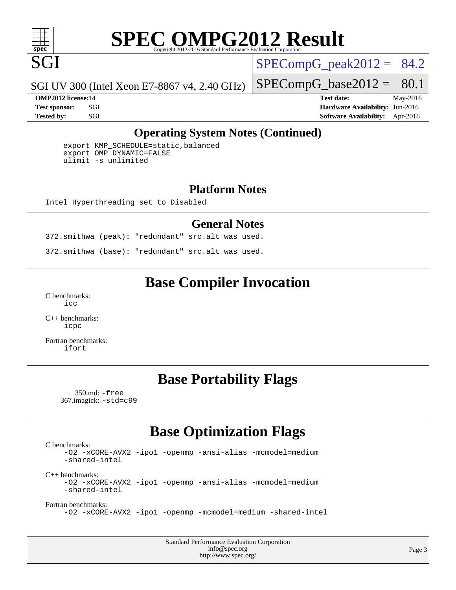

## **[SPEC OMPG2012 Result](http://www.spec.org/auto/omp2012/Docs/result-fields.html#SPECOMPG2012Result)**

 $SPECompG_peak2012 = 84.2$  $SPECompG_peak2012 = 84.2$ 

SGI UV 300 (Intel Xeon E7-8867 v4, 2.40 GHz)

 $SPECompG_base2012 = 80.1$  $SPECompG_base2012 = 80.1$ 

**[OMP2012 license:](http://www.spec.org/auto/omp2012/Docs/result-fields.html#OMP2012license)**14 **[Test date:](http://www.spec.org/auto/omp2012/Docs/result-fields.html#Testdate)** May-2016 **[Test sponsor:](http://www.spec.org/auto/omp2012/Docs/result-fields.html#Testsponsor)** SGI **[Hardware Availability:](http://www.spec.org/auto/omp2012/Docs/result-fields.html#HardwareAvailability)** Jun-2016 **[Tested by:](http://www.spec.org/auto/omp2012/Docs/result-fields.html#Testedby)** SGI SOL SGI SOFTWARE AVAILABILITY: Apr-2016

#### **[Operating System Notes \(Continued\)](http://www.spec.org/auto/omp2012/Docs/result-fields.html#OperatingSystemNotes)**

 export KMP\_SCHEDULE=static,balanced export OMP\_DYNAMIC=FALSE ulimit -s unlimited

#### **[Platform Notes](http://www.spec.org/auto/omp2012/Docs/result-fields.html#PlatformNotes)**

Intel Hyperthreading set to Disabled

#### **[General Notes](http://www.spec.org/auto/omp2012/Docs/result-fields.html#GeneralNotes)**

372.smithwa (peak): "redundant" src.alt was used.

372.smithwa (base): "redundant" src.alt was used.

### **[Base Compiler Invocation](http://www.spec.org/auto/omp2012/Docs/result-fields.html#BaseCompilerInvocation)**

[C benchmarks](http://www.spec.org/auto/omp2012/Docs/result-fields.html#Cbenchmarks): [icc](http://www.spec.org/omp2012/results/res2016q2/omp2012-20160511-00075.flags.html#user_CCbase_intel_icc_a87c68a857bc5ec5362391a49d3a37a6)

[C++ benchmarks:](http://www.spec.org/auto/omp2012/Docs/result-fields.html#CXXbenchmarks) [icpc](http://www.spec.org/omp2012/results/res2016q2/omp2012-20160511-00075.flags.html#user_CXXbase_intel_icpc_2d899f8d163502b12eb4a60069f80c1c)

[Fortran benchmarks](http://www.spec.org/auto/omp2012/Docs/result-fields.html#Fortranbenchmarks): [ifort](http://www.spec.org/omp2012/results/res2016q2/omp2012-20160511-00075.flags.html#user_FCbase_intel_ifort_8a5e5e06b19a251bdeaf8fdab5d62f20)

## **[Base Portability Flags](http://www.spec.org/auto/omp2012/Docs/result-fields.html#BasePortabilityFlags)**

 350.md: [-free](http://www.spec.org/omp2012/results/res2016q2/omp2012-20160511-00075.flags.html#user_baseFPORTABILITY350_md_free) 367.imagick: [-std=c99](http://www.spec.org/omp2012/results/res2016q2/omp2012-20160511-00075.flags.html#user_baseCPORTABILITY367_imagick_std_2ec6533b6e06f1c4a6c9b78d9e9cde24)

## **[Base Optimization Flags](http://www.spec.org/auto/omp2012/Docs/result-fields.html#BaseOptimizationFlags)**

[C benchmarks](http://www.spec.org/auto/omp2012/Docs/result-fields.html#Cbenchmarks): [-O2](http://www.spec.org/omp2012/results/res2016q2/omp2012-20160511-00075.flags.html#user_CCbase_f-O2) [-xCORE-AVX2](http://www.spec.org/omp2012/results/res2016q2/omp2012-20160511-00075.flags.html#user_CCbase_f-xCORE-AVX2) [-ipo1](http://www.spec.org/omp2012/results/res2016q2/omp2012-20160511-00075.flags.html#user_CCbase_f-ipo_116921c2575d566c213f1dd5e08493d2) [-openmp](http://www.spec.org/omp2012/results/res2016q2/omp2012-20160511-00075.flags.html#user_CCbase_f-openmp) [-ansi-alias](http://www.spec.org/omp2012/results/res2016q2/omp2012-20160511-00075.flags.html#user_CCbase_f-ansi-alias) [-mcmodel=medium](http://www.spec.org/omp2012/results/res2016q2/omp2012-20160511-00075.flags.html#user_CCbase_f-mcmodel_3a41622424bdd074c4f0f2d2f224c7e5) [-shared-intel](http://www.spec.org/omp2012/results/res2016q2/omp2012-20160511-00075.flags.html#user_CCbase_f-shared-intel) [C++ benchmarks:](http://www.spec.org/auto/omp2012/Docs/result-fields.html#CXXbenchmarks) [-O2](http://www.spec.org/omp2012/results/res2016q2/omp2012-20160511-00075.flags.html#user_CXXbase_f-O2) [-xCORE-AVX2](http://www.spec.org/omp2012/results/res2016q2/omp2012-20160511-00075.flags.html#user_CXXbase_f-xCORE-AVX2) [-ipo1](http://www.spec.org/omp2012/results/res2016q2/omp2012-20160511-00075.flags.html#user_CXXbase_f-ipo_116921c2575d566c213f1dd5e08493d2) [-openmp](http://www.spec.org/omp2012/results/res2016q2/omp2012-20160511-00075.flags.html#user_CXXbase_f-openmp) [-ansi-alias](http://www.spec.org/omp2012/results/res2016q2/omp2012-20160511-00075.flags.html#user_CXXbase_f-ansi-alias) [-mcmodel=medium](http://www.spec.org/omp2012/results/res2016q2/omp2012-20160511-00075.flags.html#user_CXXbase_f-mcmodel_3a41622424bdd074c4f0f2d2f224c7e5) [-shared-intel](http://www.spec.org/omp2012/results/res2016q2/omp2012-20160511-00075.flags.html#user_CXXbase_f-shared-intel) [Fortran benchmarks](http://www.spec.org/auto/omp2012/Docs/result-fields.html#Fortranbenchmarks): [-O2](http://www.spec.org/omp2012/results/res2016q2/omp2012-20160511-00075.flags.html#user_FCbase_f-O2) [-xCORE-AVX2](http://www.spec.org/omp2012/results/res2016q2/omp2012-20160511-00075.flags.html#user_FCbase_f-xCORE-AVX2) [-ipo1](http://www.spec.org/omp2012/results/res2016q2/omp2012-20160511-00075.flags.html#user_FCbase_f-ipo_116921c2575d566c213f1dd5e08493d2) [-openmp](http://www.spec.org/omp2012/results/res2016q2/omp2012-20160511-00075.flags.html#user_FCbase_f-openmp) [-mcmodel=medium](http://www.spec.org/omp2012/results/res2016q2/omp2012-20160511-00075.flags.html#user_FCbase_f-mcmodel_3a41622424bdd074c4f0f2d2f224c7e5) [-shared-intel](http://www.spec.org/omp2012/results/res2016q2/omp2012-20160511-00075.flags.html#user_FCbase_f-shared-intel)

> Standard Performance Evaluation Corporation [info@spec.org](mailto:info@spec.org) <http://www.spec.org/>